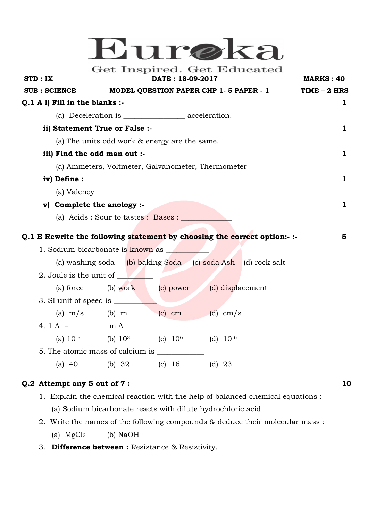# Eureka

Get Inspired. Get Educated

| STD: IX                                            |              |                                  |                                                       | DATE: 18-09-2017 |                  |                                                                          | <b>MARKS: 40</b>    |
|----------------------------------------------------|--------------|----------------------------------|-------------------------------------------------------|------------------|------------------|--------------------------------------------------------------------------|---------------------|
| SUB : SCIENCE                                      |              |                                  | MODEL QUESTION PAPER CHP 1-5 PAPER - 1                |                  |                  |                                                                          | <u>TIME – 2 HRS</u> |
|                                                    |              | $Q.1$ A i) Fill in the blanks :- |                                                       |                  |                  |                                                                          | ı                   |
|                                                    |              |                                  |                                                       |                  |                  |                                                                          |                     |
| ii) Statement True or False :-                     |              |                                  |                                                       |                  |                  |                                                                          | ı.                  |
| (a) The units odd work & energy are the same.      |              |                                  |                                                       |                  |                  |                                                                          |                     |
| iii) Find the odd man out :-                       |              |                                  |                                                       |                  |                  |                                                                          | 1                   |
| (a) Ammeters, Voltmeter, Galvanometer, Thermometer |              |                                  |                                                       |                  |                  |                                                                          |                     |
|                                                    | iv) Define : |                                  |                                                       |                  |                  |                                                                          | $\mathbf{1}$        |
|                                                    | (a) Valency  |                                  |                                                       |                  |                  |                                                                          |                     |
|                                                    |              | v) Complete the anology :-       |                                                       |                  |                  |                                                                          | 1                   |
|                                                    |              |                                  | (a) Acids : Sour to tastes : Bases : _______          |                  |                  |                                                                          |                     |
|                                                    |              |                                  |                                                       |                  |                  | Q.1 B Rewrite the following statement by choosing the correct option:-:- | 5                   |
| 1. Sodium bicarbonate is known as                  |              |                                  |                                                       |                  |                  |                                                                          |                     |
|                                                    |              |                                  |                                                       |                  |                  | (a) washing soda (b) baking Soda (c) soda Ash (d) rock salt              |                     |
|                                                    |              | 2. Joule is the unit of          |                                                       |                  |                  |                                                                          |                     |
|                                                    | (a) force    |                                  | (b) work (c) power                                    |                  | (d) displacement |                                                                          |                     |
|                                                    |              |                                  |                                                       |                  |                  |                                                                          |                     |
|                                                    |              | (a) $m/s$ (b) $m$                |                                                       | (c) cm (d) cm/s  |                  |                                                                          |                     |
|                                                    |              | 4. $1 A =$ m A                   |                                                       |                  |                  |                                                                          |                     |
|                                                    |              |                                  | (a) $10^{-3}$ (b) $10^{3}$ (c) $10^{6}$ (d) $10^{-6}$ |                  |                  |                                                                          |                     |
|                                                    |              |                                  |                                                       |                  |                  |                                                                          |                     |
|                                                    | (a) $40$     | (b) $32$                         |                                                       | (c) $16$         | $(d)$ 23         |                                                                          |                     |

### **Q.2 Attempt any 5 out of 7 : 10**

- 1. Explain the chemical reaction with the help of balanced chemical equations : (a) Sodium bicarbonate reacts with dilute hydrochloric acid.
- 2. Write the names of the following compounds & deduce their molecular mass : (a)  $MgCl<sub>2</sub>$  (b) NaOH
- 3. **Difference between :** Resistance & Resistivity.